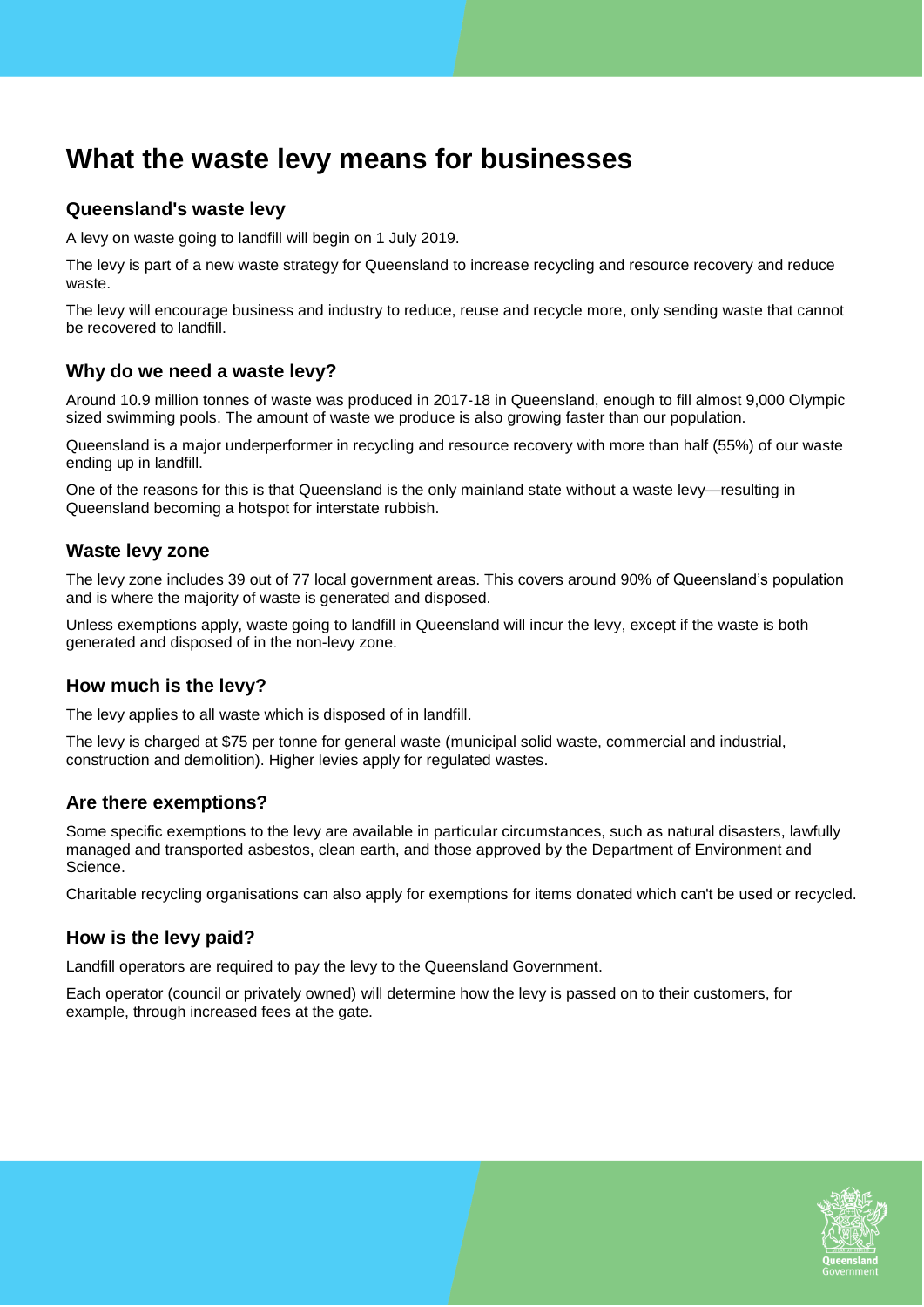# **What the waste levy means for businesses**

# **Queensland's waste levy**

A levy on waste going to landfill will begin on 1 July 2019.

The levy is part of a new waste strategy for Queensland to increase recycling and resource recovery and reduce waste.

The levy will encourage business and industry to reduce, reuse and recycle more, only sending waste that cannot be recovered to landfill.

#### **Why do we need a waste levy?**

Around 10.9 million tonnes of waste was produced in 2017-18 in Queensland, enough to fill almost 9,000 Olympic sized swimming pools. The amount of waste we produce is also growing faster than our population.

Queensland is a major underperformer in recycling and resource recovery with more than half (55%) of our waste ending up in landfill.

One of the reasons for this is that Queensland is the only mainland state without a waste levy—resulting in Queensland becoming a hotspot for interstate rubbish.

#### **Waste levy zone**

The levy zone includes 39 out of 77 local government areas. This covers around 90% of Queensland's population and is where the majority of waste is generated and disposed.

Unless exemptions apply, waste going to landfill in Queensland will incur the levy, except if the waste is both generated and disposed of in the non-levy zone.

## **How much is the levy?**

The levy applies to all waste which is disposed of in landfill.

The levy is charged at \$75 per tonne for general waste (municipal solid waste, commercial and industrial, construction and demolition). Higher levies apply for regulated wastes.

#### **Are there exemptions?**

Some specific exemptions to the levy are available in particular circumstances, such as natural disasters, lawfully managed and transported asbestos, clean earth, and those approved by the Department of Environment and Science.

Charitable recycling organisations can also apply for exemptions for items donated which can't be used or recycled.

## **How is the levy paid?**

Landfill operators are required to pay the levy to the Queensland Government.

Each operator (council or privately owned) will determine how the levy is passed on to their customers, for example, through increased fees at the gate.